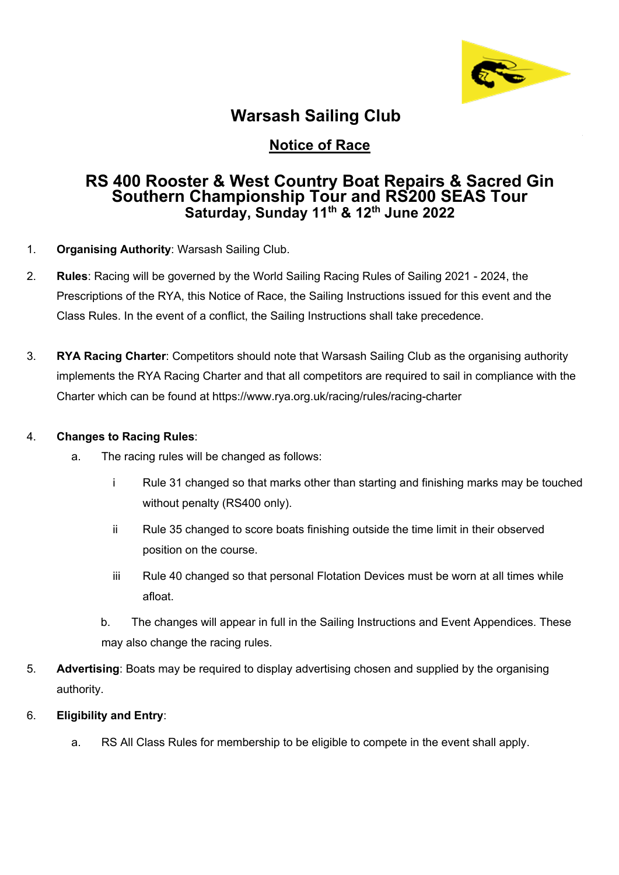

### **Warsash Sailing Club**

### **Notice of Race**

# **RS 400 Rooster & West Country Boat Repairs & Sacred Gin Southern Championship Tour and RS200 SEAS Tour Saturday, Sunday 11th & 12th June 2022**

- 1. **Organising Authority**: Warsash Sailing Club.
- 2. **Rules**: Racing will be governed by the World Sailing Racing Rules of Sailing 2021 2024, the Prescriptions of the RYA, this Notice of Race, the Sailing Instructions issued for this event and the Class Rules. In the event of a conflict, the Sailing Instructions shall take precedence.
- 3. **RYA Racing Charter**: Competitors should note that Warsash Sailing Club as the organising authority implements the RYA Racing Charter and that all competitors are required to sail in compliance with the Charter which can be found at https://www.rya.org.uk/racing/rules/racing-charter

#### 4. **Changes to Racing Rules**:

- a. The racing rules will be changed as follows:
	- i Rule 31 changed so that marks other than starting and finishing marks may be touched without penalty (RS400 only).
	- ii Rule 35 changed to score boats finishing outside the time limit in their observed position on the course.
	- iii Rule 40 changed so that personal Flotation Devices must be worn at all times while afloat.
	- b. The changes will appear in full in the Sailing Instructions and Event Appendices. These may also change the racing rules.
- 5. **Advertising**: Boats may be required to display advertising chosen and supplied by the organising authority.
- 6. **Eligibility and Entry**:
	- a. RS All Class Rules for membership to be eligible to compete in the event shall apply.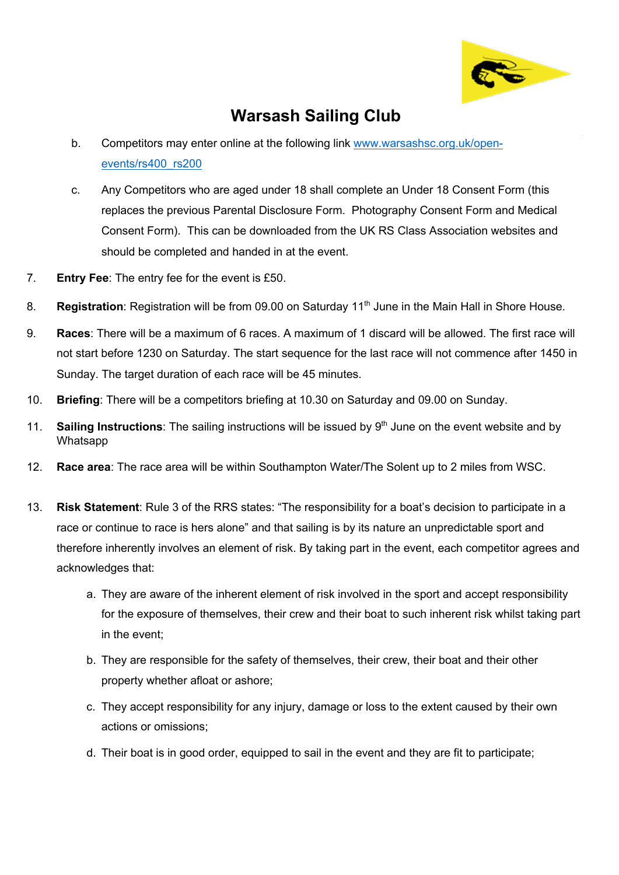

### **Warsash Sailing Club**

- b. Competitors may enter online at the following link www.warsashsc.org.uk/openevents/rs400\_rs200
- c. Any Competitors who are aged under 18 shall complete an Under 18 Consent Form (this replaces the previous Parental Disclosure Form. Photography Consent Form and Medical Consent Form). This can be downloaded from the UK RS Class Association websites and should be completed and handed in at the event.
- 7. **Entry Fee**: The entry fee for the event is £50.
- 8. **Registration**: Registration will be from 09.00 on Saturday 11<sup>th</sup> June in the Main Hall in Shore House.
- 9. **Races**: There will be a maximum of 6 races. A maximum of 1 discard will be allowed. The first race will not start before 1230 on Saturday. The start sequence for the last race will not commence after 1450 in Sunday. The target duration of each race will be 45 minutes.
- 10. **Briefing**: There will be a competitors briefing at 10.30 on Saturday and 09.00 on Sunday.
- 11. **Sailing Instructions**: The sailing instructions will be issued by 9<sup>th</sup> June on the event website and by Whatsapp
- 12. **Race area**: The race area will be within Southampton Water/The Solent up to 2 miles from WSC.
- 13. **Risk Statement**: Rule 3 of the RRS states: "The responsibility for a boat's decision to participate in a race or continue to race is hers alone" and that sailing is by its nature an unpredictable sport and therefore inherently involves an element of risk. By taking part in the event, each competitor agrees and acknowledges that:
	- a. They are aware of the inherent element of risk involved in the sport and accept responsibility for the exposure of themselves, their crew and their boat to such inherent risk whilst taking part in the event;
	- b. They are responsible for the safety of themselves, their crew, their boat and their other property whether afloat or ashore;
	- c. They accept responsibility for any injury, damage or loss to the extent caused by their own actions or omissions;
	- d. Their boat is in good order, equipped to sail in the event and they are fit to participate;